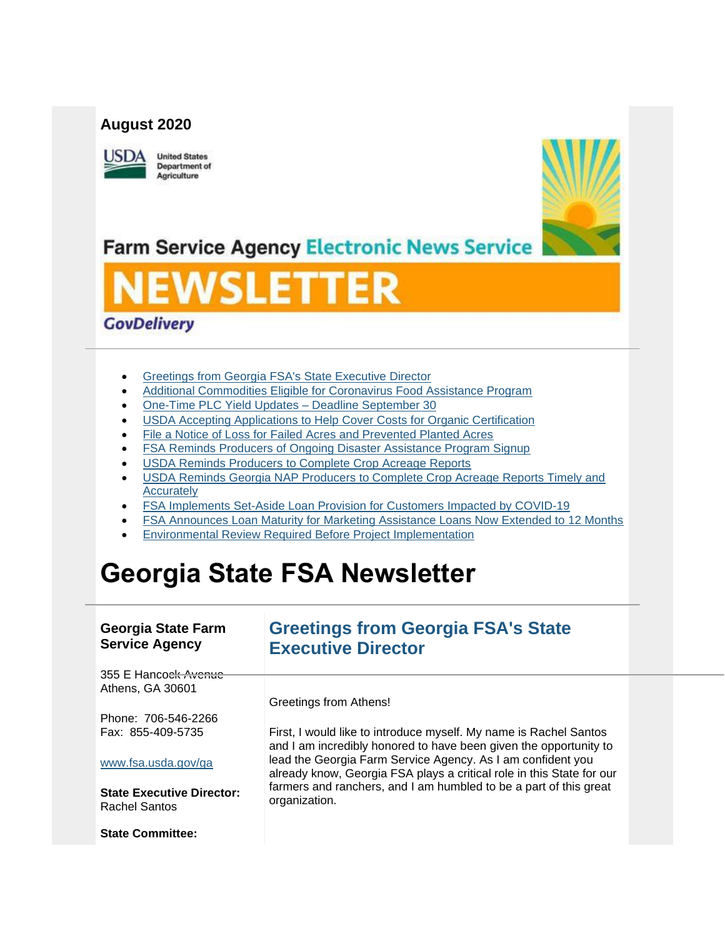### **August 2020**



**United States Department of** Agriculture



**Farm Service Agency Electronic News Service** 

# **EWSLETTER**

## **GovDelivery**

- [Greetings from Georgia FSA's State Executive Director](#page-0-0)
- [Additional Commodities Eligible for Coronavirus Food Assistance Program](#page-1-0)
- [One-Time PLC Yield Updates –](#page-3-0) Deadline September 30
- [USDA Accepting Applications to Help Cover Costs for Organic Certification](#page-4-0)
- [File a Notice of Loss for Failed Acres and Prevented Planted Acres](#page-6-0)
- [FSA Reminds Producers of Ongoing Disaster Assistance Program Signup](#page-6-1)
- USDA Reminds Producers to Complete Crop Acreage Reports
- [USDA Reminds Georgia NAP Producers to Complete Crop Acreage Reports Timely and](#page-8-0)  **[Accurately](#page-8-0)**
- [FSA Implements Set-Aside Loan Provision for Customers Impacted by COVID-19](#page-9-0)
- [FSA Announces Loan Maturity for Marketing Assistance Loans Now Extended to 12 Months](#page-10-0)
- [Environmental Review Required Before Project Implementation](#page-10-1)

## **Georgia State FSA Newsletter**

#### **Georgia State Farm Service Agency**

## <span id="page-0-0"></span>**Greetings from Georgia FSA's State Executive Director**

355 E Hancock Avenue Athens, GA 30601

Greetings from Athens!

Phone: 706-546-2266 Fax: 855-409-5735

#### [www.fsa.usda.gov/ga](https://gcc02.safelinks.protection.outlook.com/?url=http%3A%2F%2Fwww.fsa.usda.gov%2Fxx%3Futm_medium%3Demail%26utm_source%3Dgovdelivery&data=02%7C01%7C%7Ce186c851b75c4fa9aa0108d8405f06d4%7Ced5b36e701ee4ebc867ee03cfa0d4697%7C0%7C0%7C637330124174587137&sdata=JNF0T%2FpZPyEQ4DTkqA3w6aPPKizck%2BiAZ7N1F9hi25E%3D&reserved=0)

**State Executive Director:** Rachel Santos

**State Committee:**

First, I would like to introduce myself. My name is Rachel Santos and I am incredibly honored to have been given the opportunity to lead the Georgia Farm Service Agency. As I am confident you already know, Georgia FSA plays a critical role in this State for our farmers and ranchers, and I am humbled to be a part of this great organization.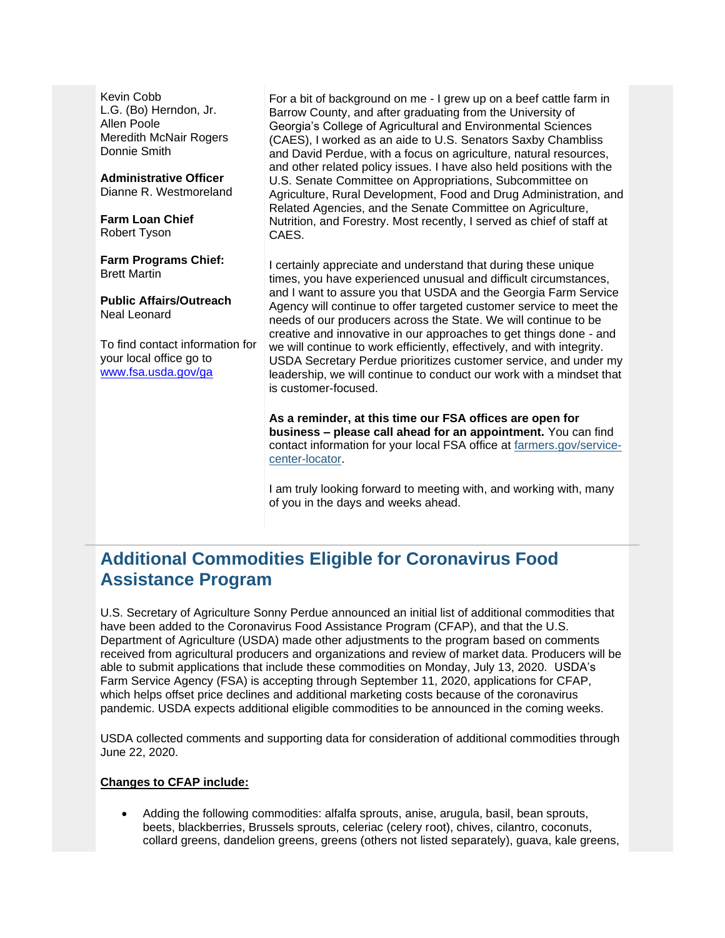Kevin Cobb L.G. (Bo) Herndon, Jr. Allen Poole Meredith McNair Rogers Donnie Smith

**Administrative Officer** Dianne R. Westmoreland

**Farm Loan Chief** Robert Tyson

**Farm Programs Chief:** Brett Martin

**Public Affairs/Outreach** Neal Leonard

To find contact information for your local office go to [www.fsa.usda.gov/ga](http://www.fsa.usda.gov/ga)

For a bit of background on me - I grew up on a beef cattle farm in Barrow County, and after graduating from the University of Georgia's College of Agricultural and Environmental Sciences (CAES), I worked as an aide to U.S. Senators Saxby Chambliss and David Perdue, with a focus on agriculture, natural resources, and other related policy issues. I have also held positions with the U.S. Senate Committee on Appropriations, Subcommittee on Agriculture, Rural Development, Food and Drug Administration, and Related Agencies, and the Senate Committee on Agriculture, Nutrition, and Forestry. Most recently, I served as chief of staff at CAES.

I certainly appreciate and understand that during these unique times, you have experienced unusual and difficult circumstances, and I want to assure you that USDA and the Georgia Farm Service Agency will continue to offer targeted customer service to meet the needs of our producers across the State. We will continue to be creative and innovative in our approaches to get things done - and we will continue to work efficiently, effectively, and with integrity. USDA Secretary Perdue prioritizes customer service, and under my leadership, we will continue to conduct our work with a mindset that is customer-focused.

**As a reminder, at this time our FSA offices are open for business – please call ahead for an appointment.** You can find contact information for your local FSA office at [farmers.gov/service](https://www.farmers.gov/service-center-locator?utm_medium=email&utm_source=govdelivery)[center-locator.](https://www.farmers.gov/service-center-locator?utm_medium=email&utm_source=govdelivery)

I am truly looking forward to meeting with, and working with, many of you in the days and weeks ahead.

## <span id="page-1-0"></span>**Additional Commodities Eligible for Coronavirus Food Assistance Program**

U.S. Secretary of Agriculture Sonny Perdue announced an initial list of additional commodities that have been added to the Coronavirus Food Assistance Program (CFAP), and that the U.S. Department of Agriculture (USDA) made other adjustments to the program based on comments received from agricultural producers and organizations and review of market data. Producers will be able to submit applications that include these commodities on Monday, July 13, 2020. USDA's Farm Service Agency (FSA) is accepting through September 11, 2020, applications for CFAP, which helps offset price declines and additional marketing costs because of the coronavirus pandemic. USDA expects additional eligible commodities to be announced in the coming weeks.

USDA collected comments and supporting data for consideration of additional commodities through June 22, 2020.

#### **Changes to CFAP include:**

• Adding the following commodities: alfalfa sprouts, anise, arugula, basil, bean sprouts, beets, blackberries, Brussels sprouts, celeriac (celery root), chives, cilantro, coconuts, collard greens, dandelion greens, greens (others not listed separately), guava, kale greens,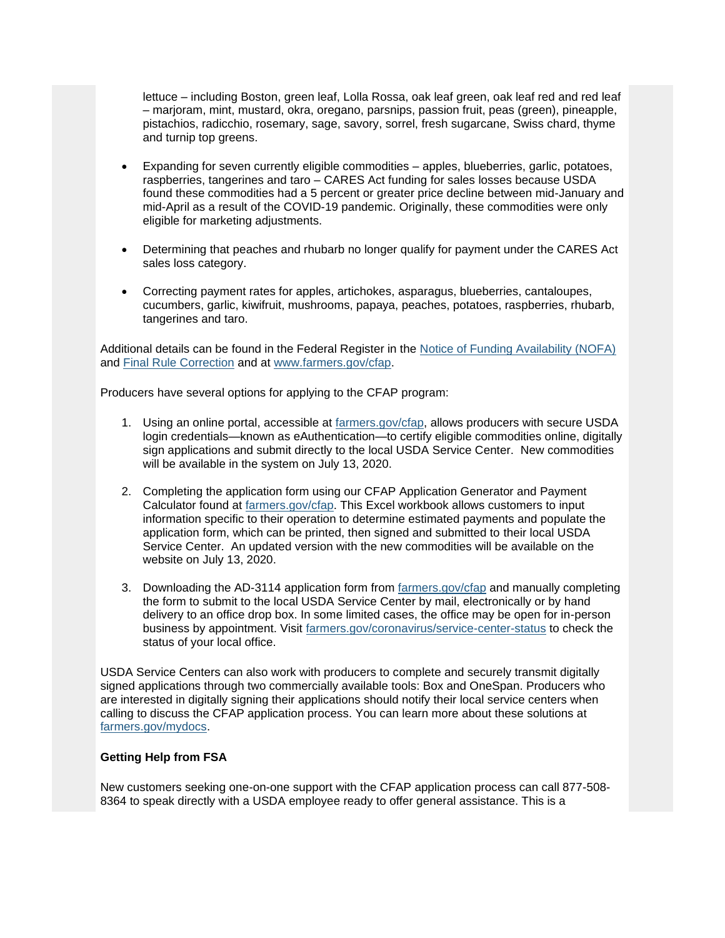lettuce – including Boston, green leaf, Lolla Rossa, oak leaf green, oak leaf red and red leaf – marjoram, mint, mustard, okra, oregano, parsnips, passion fruit, peas (green), pineapple, pistachios, radicchio, rosemary, sage, savory, sorrel, fresh sugarcane, Swiss chard, thyme and turnip top greens.

- Expanding for seven currently eligible commodities apples, blueberries, garlic, potatoes, raspberries, tangerines and taro – CARES Act funding for sales losses because USDA found these commodities had a 5 percent or greater price decline between mid-January and mid-April as a result of the COVID-19 pandemic. Originally, these commodities were only eligible for marketing adjustments.
- Determining that peaches and rhubarb no longer qualify for payment under the CARES Act sales loss category.
- Correcting payment rates for apples, artichokes, asparagus, blueberries, cantaloupes, cucumbers, garlic, kiwifruit, mushrooms, papaya, peaches, potatoes, raspberries, rhubarb, tangerines and taro.

Additional details can be found in the Federal Register in the [Notice of Funding Availability \(NOFA\)](https://gcc02.safelinks.protection.outlook.com/?url=https%3A%2F%2Fwww.fsa.usda.gov%2FInternet%2FFSA_Federal_Notices%2Fcfap_nofa_792010_pub_insp.pdf%3Futm_medium%3Demail%26utm_source%3Dgovdelivery&data=02%7C01%7C%7Ce186c851b75c4fa9aa0108d8405f06d4%7Ced5b36e701ee4ebc867ee03cfa0d4697%7C0%7C1%7C637330124174597127&sdata=vWHRzk6hPt9v8C%2FcZkwBV5lqDXraVs3qVVbbCDUmPoM%3D&reserved=0) and [Final Rule Correction](https://gcc02.safelinks.protection.outlook.com/?url=https%3A%2F%2Fs3.amazonaws.com%2Fpublic-inspection.federalregister.gov%2F2020-14855.pdf%3Futm_medium%3Demail%26utm_source%3Dgovdelivery&data=02%7C01%7C%7Ce186c851b75c4fa9aa0108d8405f06d4%7Ced5b36e701ee4ebc867ee03cfa0d4697%7C0%7C1%7C637330124174597127&sdata=xJmrmHdv39WOwDASxgLHf%2B7LZobPi5CBNDVo8IBw7AM%3D&reserved=0) and at [www.farmers.gov/cfap.](http://www.farmers.gov/cfap?utm_medium=email&utm_source=govdelivery)

Producers have several options for applying to the CFAP program:

- 1. Using an online portal, accessible at [farmers.gov/cfap,](https://www.farmers.gov/cfap?utm_medium=email&utm_source=govdelivery) allows producers with secure USDA login credentials—known as eAuthentication—to certify eligible commodities online, digitally sign applications and submit directly to the local USDA Service Center. New commodities will be available in the system on July 13, 2020.
- 2. Completing the application form using our CFAP Application Generator and Payment Calculator found at [farmers.gov/cfap.](https://www.farmers.gov/cfap?utm_medium=email&utm_source=govdelivery) This Excel workbook allows customers to input information specific to their operation to determine estimated payments and populate the application form, which can be printed, then signed and submitted to their local USDA Service Center. An updated version with the new commodities will be available on the website on July 13, 2020.
- 3. Downloading the AD-3114 application form from [farmers.gov/cfap](https://www.farmers.gov/cfap?utm_medium=email&utm_source=govdelivery) and manually completing the form to submit to the local USDA Service Center by mail, electronically or by hand delivery to an office drop box. In some limited cases, the office may be open for in-person business by appointment. Visit [farmers.gov/coronavirus/service-center-status](https://www.farmers.gov/coronavirus/service-center-status?utm_medium=email&utm_source=govdelivery) to check the status of your local office.

USDA Service Centers can also work with producers to complete and securely transmit digitally signed applications through two commercially available tools: Box and OneSpan. Producers who are interested in digitally signing their applications should notify their local service centers when calling to discuss the CFAP application process. You can learn more about these solutions at [farmers.gov/mydocs.](https://www.farmers.gov/mydocs?utm_medium=email&utm_source=govdelivery)

#### **Getting Help from FSA**

New customers seeking one-on-one support with the CFAP application process can call 877-508- 8364 to speak directly with a USDA employee ready to offer general assistance. This is a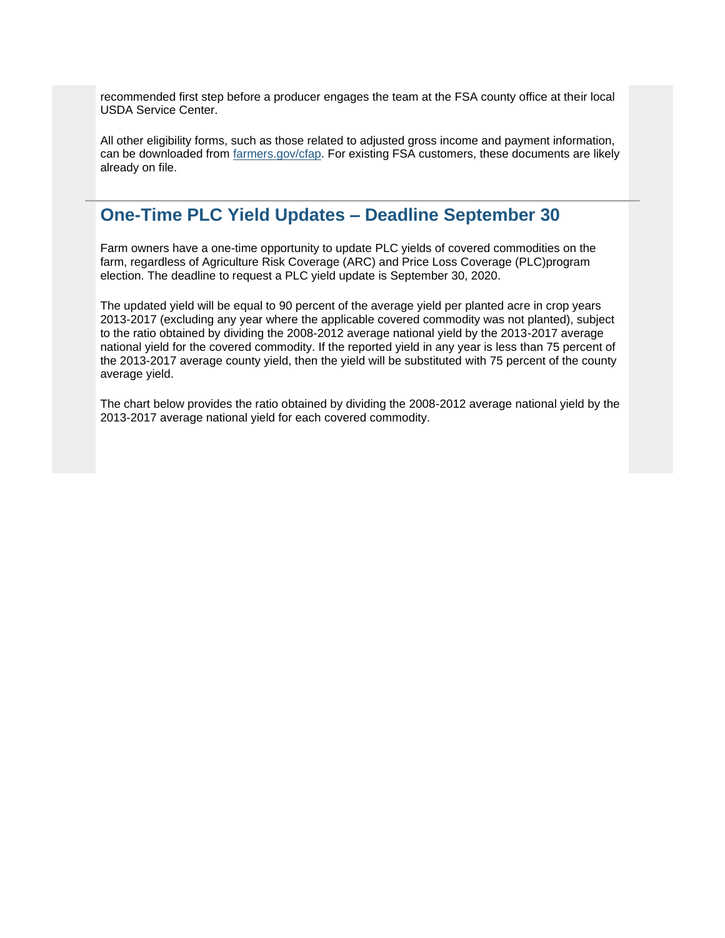recommended first step before a producer engages the team at the FSA county office at their local USDA Service Center.

All other eligibility forms, such as those related to adjusted gross income and payment information, can be downloaded from [farmers.gov/cfap.](http://www.farmers.gov/cfap/?utm_medium=email&utm_source=govdelivery) For existing FSA customers, these documents are likely already on file.

## <span id="page-3-0"></span>**One-Time PLC Yield Updates – Deadline September 30**

Farm owners have a one-time opportunity to update PLC yields of covered commodities on the farm, regardless of Agriculture Risk Coverage (ARC) and Price Loss Coverage (PLC)program election. The deadline to request a PLC yield update is September 30, 2020.

The updated yield will be equal to 90 percent of the average yield per planted acre in crop years 2013-2017 (excluding any year where the applicable covered commodity was not planted), subject to the ratio obtained by dividing the 2008-2012 average national yield by the 2013-2017 average national yield for the covered commodity. If the reported yield in any year is less than 75 percent of the 2013-2017 average county yield, then the yield will be substituted with 75 percent of the county average yield.

The chart below provides the ratio obtained by dividing the 2008-2012 average national yield by the 2013-2017 average national yield for each covered commodity.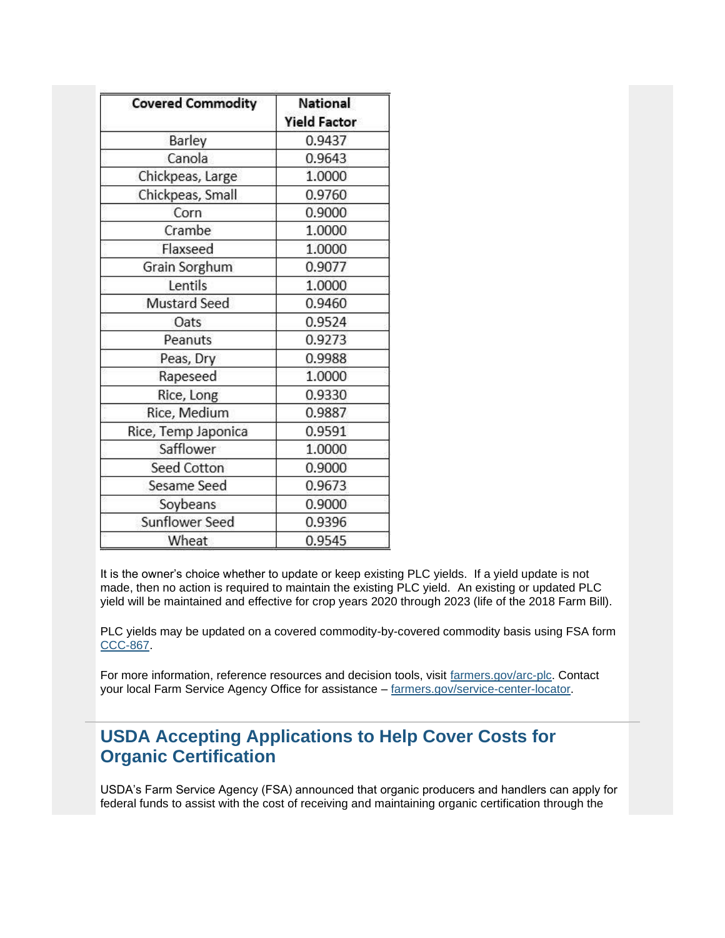| <b>Covered Commodity</b> | National            |
|--------------------------|---------------------|
|                          | <b>Yield Factor</b> |
| Barley                   | 0.9437              |
| Canola                   | 0.9643              |
| Chickpeas, Large         | 1.0000              |
| Chickpeas, Small         | 0.9760              |
| Corn                     | 0.9000              |
| Crambe                   | 1.0000              |
| Flaxseed                 | 1.0000              |
| Grain Sorghum            | 0.9077              |
| Lentils                  | 1.0000              |
| Mustard Seed             | 0.9460              |
| Oats                     | 0.9524              |
| Peanuts                  | 0.9273              |
| Peas, Dry                | 0.9988              |
| Rapeseed                 | 1.0000              |
| Rice, Long               | 0.9330              |
| Rice, Medium             | 0.9887              |
| Rice, Temp Japonica      | 0.9591              |
| Safflower                | 1.0000              |
| Seed Cotton              | 0.9000              |
| Sesame Seed              | 0.9673              |
| Soybeans                 | 0.9000              |
| Sunflower Seed           | 0.9396              |
| Wheat                    | 0.9545              |

It is the owner's choice whether to update or keep existing PLC yields. If a yield update is not made, then no action is required to maintain the existing PLC yield. An existing or updated PLC yield will be maintained and effective for crop years 2020 through 2023 (life of the 2018 Farm Bill).

PLC yields may be updated on a covered commodity-by-covered commodity basis using FSA form [CCC-867.](https://gcc02.safelinks.protection.outlook.com/?data=02%7C01%7C%7Cd9fd1ef0b1284db5eb8308d8405683ad%7Ced5b36e701ee4ebc867ee03cfa0d4697%7C0%7C0%7C637330087599887867&reserved=0&sdata=Sv3j9ZkWhQr7F1CE%2Fy6ulEqKNNgBJ9Ytf1JiD%2F52puY%3D&url=https%3A%2F%2Femso-sa.fsa.usda.gov%2Fdps%2Fservices%2Fdownloadhandler.ashx%3Ffileid%3D36495%26utm_medium%3Demail%26utm_source%3Dgovdelivery&utm_medium=email&utm_source=govdelivery)

For more information, reference resources and decision tools, visit [farmers.gov/arc-plc.](https://www.farmers.gov/arc-plc?utm_medium=email&utm_source=govdelivery) Contact your local Farm Service Agency Office for assistance – [farmers.gov/service-center-locator.](http://www.farmers.gov/service-center-locator?utm_medium=email&utm_source=govdelivery)

## <span id="page-4-0"></span>**USDA Accepting Applications to Help Cover Costs for Organic Certification**

USDA's Farm Service Agency (FSA) announced that organic producers and handlers can apply for federal funds to assist with the cost of receiving and maintaining organic certification through the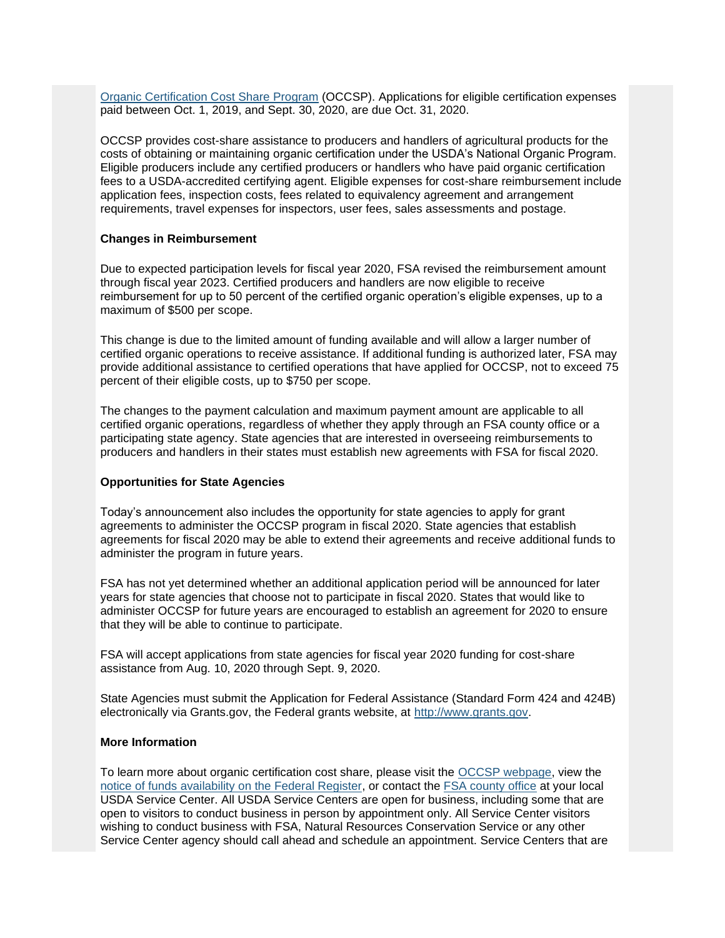[Organic Certification Cost Share Program](https://gcc02.safelinks.protection.outlook.com/?url=https%3A%2F%2Fwww.fsa.usda.gov%2Fprograms-and-services%2Foccsp%2Findex%3Futm_medium%3Demail%26utm_source%3Dgovdelivery&data=02%7C01%7C%7Ce186c851b75c4fa9aa0108d8405f06d4%7Ced5b36e701ee4ebc867ee03cfa0d4697%7C0%7C0%7C637330124174607128&sdata=0cOUp8ZpXCIKpnxUwkUM2NKLq5YlUYQogO0Wo4Aifjg%3D&reserved=0) (OCCSP). Applications for eligible certification expenses paid between Oct. 1, 2019, and Sept. 30, 2020, are due Oct. 31, 2020.

OCCSP provides cost-share assistance to producers and handlers of agricultural products for the costs of obtaining or maintaining organic certification under the USDA's National Organic Program. Eligible producers include any certified producers or handlers who have paid organic certification fees to a USDA-accredited certifying agent. Eligible expenses for cost-share reimbursement include application fees, inspection costs, fees related to equivalency agreement and arrangement requirements, travel expenses for inspectors, user fees, sales assessments and postage.

#### **Changes in Reimbursement**

Due to expected participation levels for fiscal year 2020, FSA revised the reimbursement amount through fiscal year 2023. Certified producers and handlers are now eligible to receive reimbursement for up to 50 percent of the certified organic operation's eligible expenses, up to a maximum of \$500 per scope.

This change is due to the limited amount of funding available and will allow a larger number of certified organic operations to receive assistance. If additional funding is authorized later, FSA may provide additional assistance to certified operations that have applied for OCCSP, not to exceed 75 percent of their eligible costs, up to \$750 per scope.

The changes to the payment calculation and maximum payment amount are applicable to all certified organic operations, regardless of whether they apply through an FSA county office or a participating state agency. State agencies that are interested in overseeing reimbursements to producers and handlers in their states must establish new agreements with FSA for fiscal 2020.

#### **Opportunities for State Agencies**

Today's announcement also includes the opportunity for state agencies to apply for grant agreements to administer the OCCSP program in fiscal 2020. State agencies that establish agreements for fiscal 2020 may be able to extend their agreements and receive additional funds to administer the program in future years.

FSA has not yet determined whether an additional application period will be announced for later years for state agencies that choose not to participate in fiscal 2020. States that would like to administer OCCSP for future years are encouraged to establish an agreement for 2020 to ensure that they will be able to continue to participate.

FSA will accept applications from state agencies for fiscal year 2020 funding for cost-share assistance from Aug. 10, 2020 through Sept. 9, 2020.

State Agencies must submit the Application for Federal Assistance (Standard Form 424 and 424B) electronically via Grants.gov, the Federal grants website, at [http://www.grants.gov.](https://gcc02.safelinks.protection.outlook.com/?url=http%3A%2F%2Fwww.grants.gov%2F%3Futm_medium%3Demail%26utm_source%3Dgovdelivery&data=02%7C01%7C%7Ce186c851b75c4fa9aa0108d8405f06d4%7Ced5b36e701ee4ebc867ee03cfa0d4697%7C0%7C0%7C637330124174617120&sdata=%2BQ6MQMcWaQ25GOtLEfgK7X4Cpy9F%2BRFk5GV4LPqc2xY%3D&reserved=0)

#### **More Information**

To learn more about organic certification cost share, please visit the [OCCSP webpage,](https://gcc02.safelinks.protection.outlook.com/?url=https%3A%2F%2Fwww.fsa.usda.gov%2Fprograms-and-services%2Foccsp%2Findex%3Futm_medium%3Demail%26utm_source%3Dgovdelivery&data=02%7C01%7C%7Ce186c851b75c4fa9aa0108d8405f06d4%7Ced5b36e701ee4ebc867ee03cfa0d4697%7C0%7C0%7C637330124174617120&sdata=264YykqFrucpoiaQjm%2BBOm4SRa2delFNh8XNhoU7Rzg%3D&reserved=0) view the [notice of funds availability on the Federal Register,](https://gcc02.safelinks.protection.outlook.com/?url=https%3A%2F%2Fwww.federalregister.gov%2Fdocuments%2F2020%2F08%2F10%2F2020-17385%2Fnotice-of-funds-availability-nofa-for-the-organic-certification-cost-share-program%3Futm_medium%3Demail%26utm_source%3Dgovdelivery&data=02%7C01%7C%7Ce186c851b75c4fa9aa0108d8405f06d4%7Ced5b36e701ee4ebc867ee03cfa0d4697%7C0%7C0%7C637330124174627112&sdata=CT6AaMNAMnVOFQh78NTxjC2m7HJlitKdQETZXBCA3I8%3D&reserved=0) or contact the [FSA county office](https://offices.sc.egov.usda.gov/locator/app?utm_medium=email&utm_source=govdelivery) at your local USDA Service Center. All USDA Service Centers are open for business, including some that are open to visitors to conduct business in person by appointment only. All Service Center visitors wishing to conduct business with FSA, Natural Resources Conservation Service or any other Service Center agency should call ahead and schedule an appointment. Service Centers that are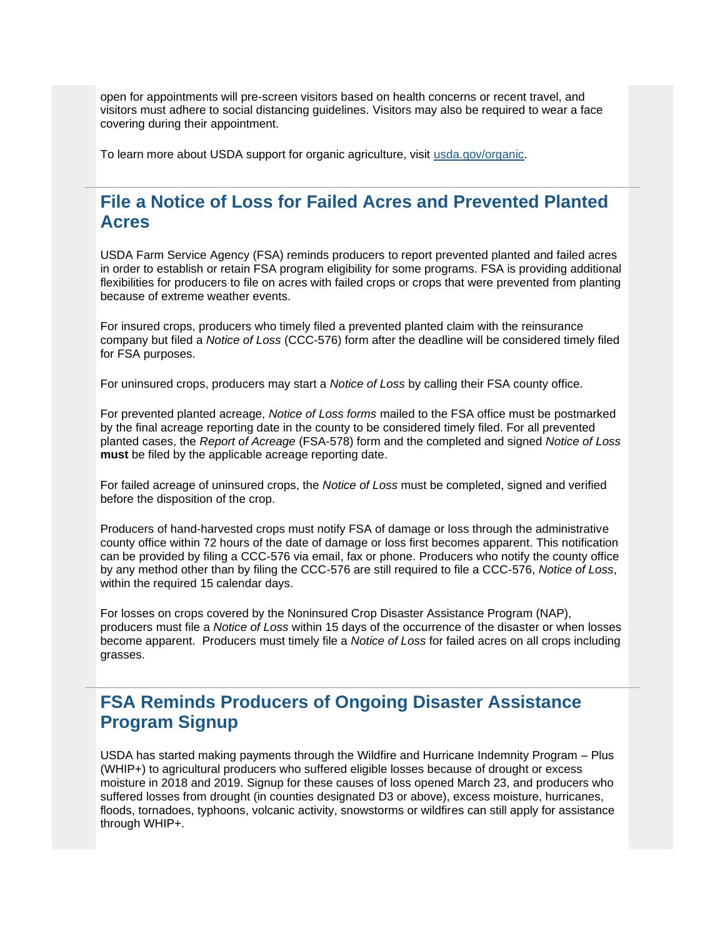open for appointments will pre-screen visitors based on health concerns or recent travel, and visitors must adhere to social distancing guidelines. Visitors may also be required to wear a face covering during their appointment.

To learn more about USDA support for organic agriculture, visit [usda.gov/organic.](https://www.usda.gov/topics/organic?utm_medium=email&utm_source=govdelivery)

## <span id="page-6-0"></span>**File a Notice of Loss for Failed Acres and Prevented Planted Acres**

USDA Farm Service Agency (FSA) reminds producers to report prevented planted and failed acres in order to establish or retain FSA program eligibility for some programs. FSA is providing additional flexibilities for producers to file on acres with failed crops or crops that were prevented from planting because of extreme weather events.

For insured crops, producers who timely filed a prevented planted claim with the reinsurance company but filed a *Notice of Loss* (CCC-576) form after the deadline will be considered timely filed for FSA purposes.

For uninsured crops, producers may start a *Notice of Loss* by calling their FSA county office.

For prevented planted acreage, *Notice of Loss forms* mailed to the FSA office must be postmarked by the final acreage reporting date in the county to be considered timely filed. For all prevented planted cases, the *Report of Acreage* (FSA-578) form and the completed and signed *Notice of Loss* **must** be filed by the applicable acreage reporting date.

For failed acreage of uninsured crops, the *Notice of Loss* must be completed, signed and verified before the disposition of the crop.

Producers of hand-harvested crops must notify FSA of damage or loss through the administrative county office within 72 hours of the date of damage or loss first becomes apparent. This notification can be provided by filing a CCC-576 via email, fax or phone. Producers who notify the county office by any method other than by filing the CCC-576 are still required to file a CCC-576, *Notice of Loss*, within the required 15 calendar days.

For losses on crops covered by the Noninsured Crop Disaster Assistance Program (NAP), producers must file a *Notice of Loss* within 15 days of the occurrence of the disaster or when losses become apparent. Producers must timely file a *Notice of Loss* for failed acres on all crops including grasses.

## <span id="page-6-1"></span>**FSA Reminds Producers of Ongoing Disaster Assistance Program Signup**

USDA has started making payments through the Wildfire and Hurricane Indemnity Program – Plus (WHIP+) to agricultural producers who suffered eligible losses because of drought or excess moisture in 2018 and 2019. Signup for these causes of loss opened March 23, and producers who suffered losses from drought (in counties designated D3 or above), excess moisture, hurricanes, floods, tornadoes, typhoons, volcanic activity, snowstorms or wildfires can still apply for assistance through WHIP+.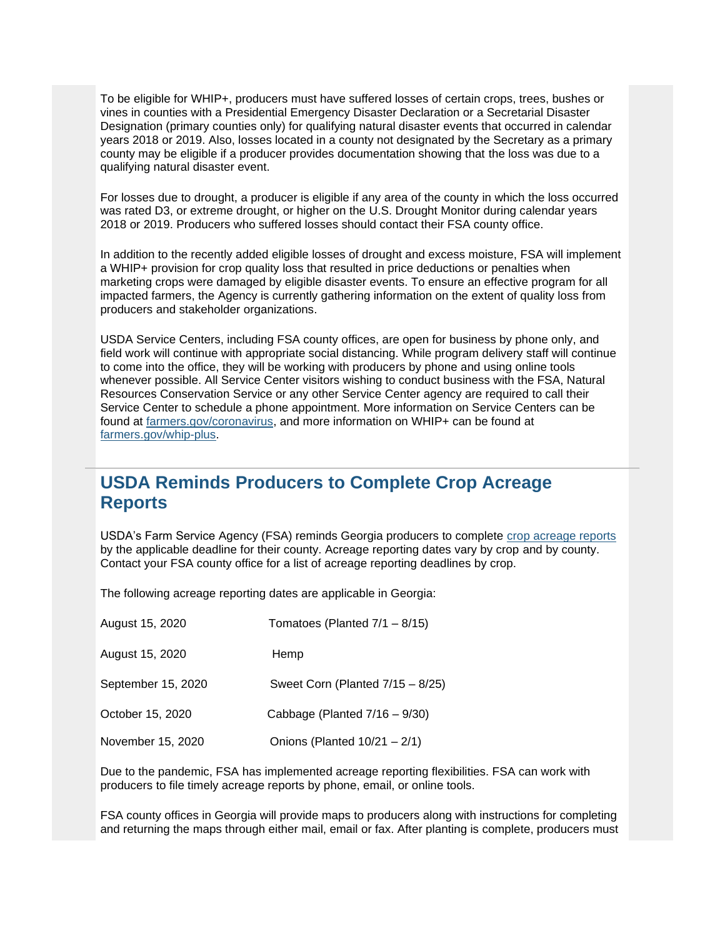To be eligible for WHIP+, producers must have suffered losses of certain crops, trees, bushes or vines in counties with a Presidential Emergency Disaster Declaration or a Secretarial Disaster Designation (primary counties only) for qualifying natural disaster events that occurred in calendar years 2018 or 2019. Also, losses located in a county not designated by the Secretary as a primary county may be eligible if a producer provides documentation showing that the loss was due to a qualifying natural disaster event.

For losses due to drought, a producer is eligible if any area of the county in which the loss occurred was rated D3, or extreme drought, or higher on the U.S. Drought Monitor during calendar years 2018 or 2019. Producers who suffered losses should contact their FSA county office.

In addition to the recently added eligible losses of drought and excess moisture, FSA will implement a WHIP+ provision for crop quality loss that resulted in price deductions or penalties when marketing crops were damaged by eligible disaster events. To ensure an effective program for all impacted farmers, the Agency is currently gathering information on the extent of quality loss from producers and stakeholder organizations.

USDA Service Centers, including FSA county offices, are open for business by phone only, and field work will continue with appropriate social distancing. While program delivery staff will continue to come into the office, they will be working with producers by phone and using online tools whenever possible. All Service Center visitors wishing to conduct business with the FSA, Natural Resources Conservation Service or any other Service Center agency are required to call their Service Center to schedule a phone appointment. More information on Service Centers can be found at [farmers.gov/coronavirus,](http://www.farmers.gov/coronavirus?utm_medium=email&utm_source=govdelivery) and more information on WHIP+ can be found at [farmers.gov/whip-plus.](http://www.farmers.gov/whip-plus?utm_medium=email&utm_source=govdelivery)

## <span id="page-7-0"></span>**USDA Reminds Producers to Complete Crop Acreage Reports**

USDA's Farm Service Agency (FSA) reminds Georgia producers to complete [crop acreage reports](https://www.farmers.gov/crop-acreage-reports?utm_medium=email&utm_source=govdelivery) by the applicable deadline for their county. Acreage reporting dates vary by crop and by county. Contact your FSA county office for a list of acreage reporting deadlines by crop.

The following acreage reporting dates are applicable in Georgia:

| August 15, 2020    | Tomatoes (Planted $7/1 - 8/15$ ) |
|--------------------|----------------------------------|
| August 15, 2020    | Hemp                             |
| September 15, 2020 | Sweet Corn (Planted 7/15 - 8/25) |
| October 15, 2020   | Cabbage (Planted $7/16 - 9/30$ ) |
| November 15, 2020  | Onions (Planted $10/21 - 2/1$ )  |

Due to the pandemic, FSA has implemented acreage reporting flexibilities. FSA can work with producers to file timely acreage reports by phone, email, or online tools.

FSA county offices in Georgia will provide maps to producers along with instructions for completing and returning the maps through either mail, email or fax. After planting is complete, producers must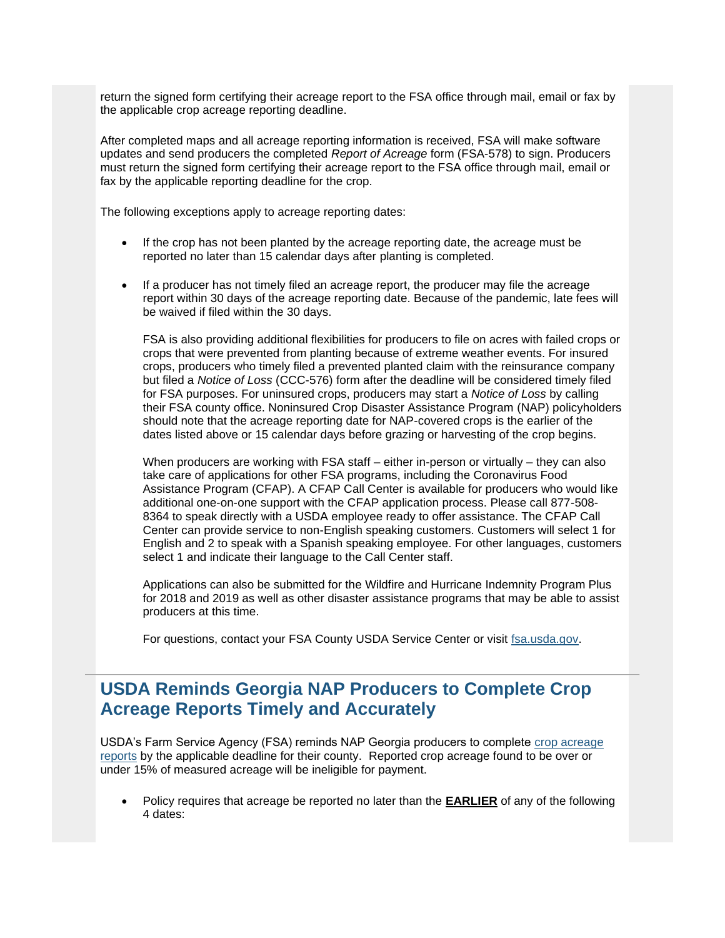return the signed form certifying their acreage report to the FSA office through mail, email or fax by the applicable crop acreage reporting deadline.

After completed maps and all acreage reporting information is received, FSA will make software updates and send producers the completed *Report of Acreage* form (FSA-578) to sign. Producers must return the signed form certifying their acreage report to the FSA office through mail, email or fax by the applicable reporting deadline for the crop.

The following exceptions apply to acreage reporting dates:

- If the crop has not been planted by the acreage reporting date, the acreage must be reported no later than 15 calendar days after planting is completed.
- If a producer has not timely filed an acreage report, the producer may file the acreage report within 30 days of the acreage reporting date. Because of the pandemic, late fees will be waived if filed within the 30 days.

FSA is also providing additional flexibilities for producers to file on acres with failed crops or crops that were prevented from planting because of extreme weather events. For insured crops, producers who timely filed a prevented planted claim with the reinsurance company but filed a *Notice of Loss* (CCC-576) form after the deadline will be considered timely filed for FSA purposes. For uninsured crops, producers may start a *Notice of Loss* by calling their FSA county office. Noninsured Crop Disaster Assistance Program (NAP) policyholders should note that the acreage reporting date for NAP-covered crops is the earlier of the dates listed above or 15 calendar days before grazing or harvesting of the crop begins.

When producers are working with FSA staff – either in-person or virtually – they can also take care of applications for other FSA programs, including the Coronavirus Food Assistance Program (CFAP). A CFAP Call Center is available for producers who would like additional one-on-one support with the CFAP application process. Please call 877-508- 8364 to speak directly with a USDA employee ready to offer assistance. The CFAP Call Center can provide service to non-English speaking customers. Customers will select 1 for English and 2 to speak with a Spanish speaking employee. For other languages, customers select 1 and indicate their language to the Call Center staff.

Applications can also be submitted for the Wildfire and Hurricane Indemnity Program Plus for 2018 and 2019 as well as other disaster assistance programs that may be able to assist producers at this time.

For questions, contact your FSA County USDA Service Center or visit [fsa.usda.gov.](https://gcc02.safelinks.protection.outlook.com/?url=http%3A%2F%2Fwww.fsa.usda.gov%2F%3Futm_medium%3Demail%26utm_source%3Dgovdelivery&data=02%7C01%7C%7Ce186c851b75c4fa9aa0108d8405f06d4%7Ced5b36e701ee4ebc867ee03cfa0d4697%7C0%7C0%7C637330124174627112&sdata=nffdlFyS2wNMSbc3E8TQvMAMQs67wVutsHDoJR%2BHZwg%3D&reserved=0)

## <span id="page-8-0"></span>**USDA Reminds Georgia NAP Producers to Complete Crop Acreage Reports Timely and Accurately**

USDA's Farm Service Agency (FSA) reminds NAP Georgia producers to complete [crop acreage](https://www.farmers.gov/crop-acreage-reports?utm_medium=email&utm_source=govdelivery)  [reports](https://www.farmers.gov/crop-acreage-reports?utm_medium=email&utm_source=govdelivery) by the applicable deadline for their county. Reported crop acreage found to be over or under 15% of measured acreage will be ineligible for payment.

• Policy requires that acreage be reported no later than the **EARLIER** of any of the following 4 dates: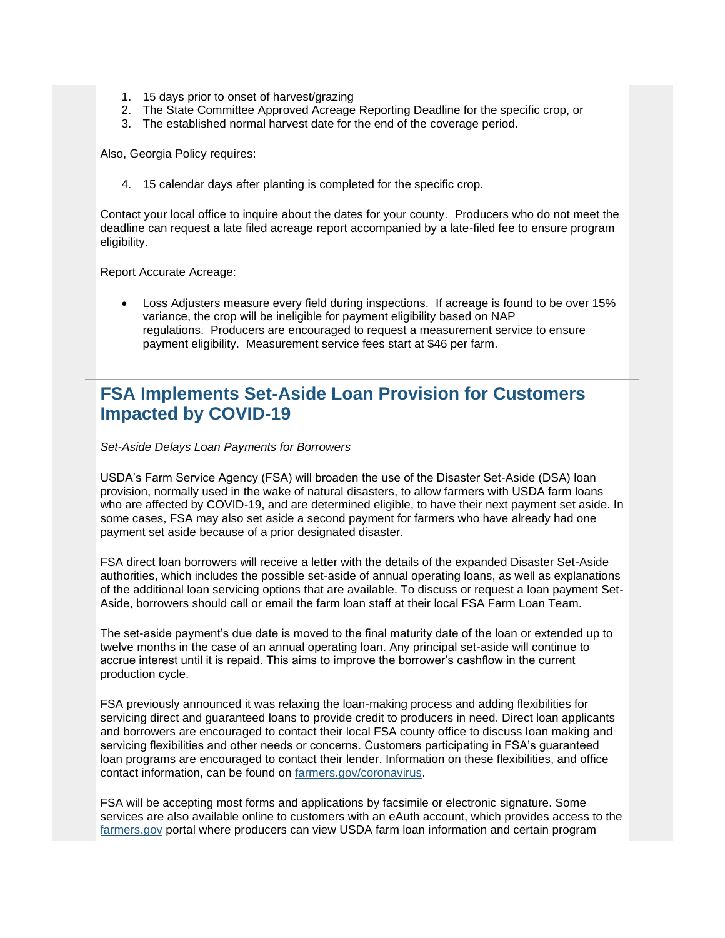- 1. 15 days prior to onset of harvest/grazing
- 2. The State Committee Approved Acreage Reporting Deadline for the specific crop, or
- 3. The established normal harvest date for the end of the coverage period.

Also, Georgia Policy requires:

4. 15 calendar days after planting is completed for the specific crop.

Contact your local office to inquire about the dates for your county. Producers who do not meet the deadline can request a late filed acreage report accompanied by a late-filed fee to ensure program eligibility.

Report Accurate Acreage:

• Loss Adjusters measure every field during inspections. If acreage is found to be over 15% variance, the crop will be ineligible for payment eligibility based on NAP regulations. Producers are encouraged to request a measurement service to ensure payment eligibility. Measurement service fees start at \$46 per farm.

## <span id="page-9-0"></span>**FSA Implements Set-Aside Loan Provision for Customers Impacted by COVID-19**

*Set-Aside Delays Loan Payments for Borrowers*

USDA's Farm Service Agency (FSA) will broaden the use of the Disaster Set-Aside (DSA) loan provision, normally used in the wake of natural disasters, to allow farmers with USDA farm loans who are affected by COVID-19, and are determined eligible, to have their next payment set aside. In some cases, FSA may also set aside a second payment for farmers who have already had one payment set aside because of a prior designated disaster.

FSA direct loan borrowers will receive a letter with the details of the expanded Disaster Set-Aside authorities, which includes the possible set-aside of annual operating loans, as well as explanations of the additional loan servicing options that are available. To discuss or request a loan payment Set-Aside, borrowers should call or email the farm loan staff at their local FSA Farm Loan Team.

The set-aside payment's due date is moved to the final maturity date of the loan or extended up to twelve months in the case of an annual operating loan. Any principal set-aside will continue to accrue interest until it is repaid. This aims to improve the borrower's cashflow in the current production cycle.

FSA previously announced it was relaxing the loan-making process and adding flexibilities for servicing direct and guaranteed loans to provide credit to producers in need. Direct loan applicants and borrowers are encouraged to contact their local FSA county office to discuss loan making and servicing flexibilities and other needs or concerns. Customers participating in FSA's guaranteed loan programs are encouraged to contact their lender. Information on these flexibilities, and office contact information, can be found on [farmers.gov/coronavirus.](http://www.farmers.gov/coronavirus?utm_medium=email&utm_source=govdelivery)

FSA will be accepting most forms and applications by facsimile or electronic signature. Some services are also available online to customers with an eAuth account, which provides access to the [farmers.gov](http://www.farmers.gov/?utm_medium=email&utm_source=govdelivery) portal where producers can view USDA farm loan information and certain program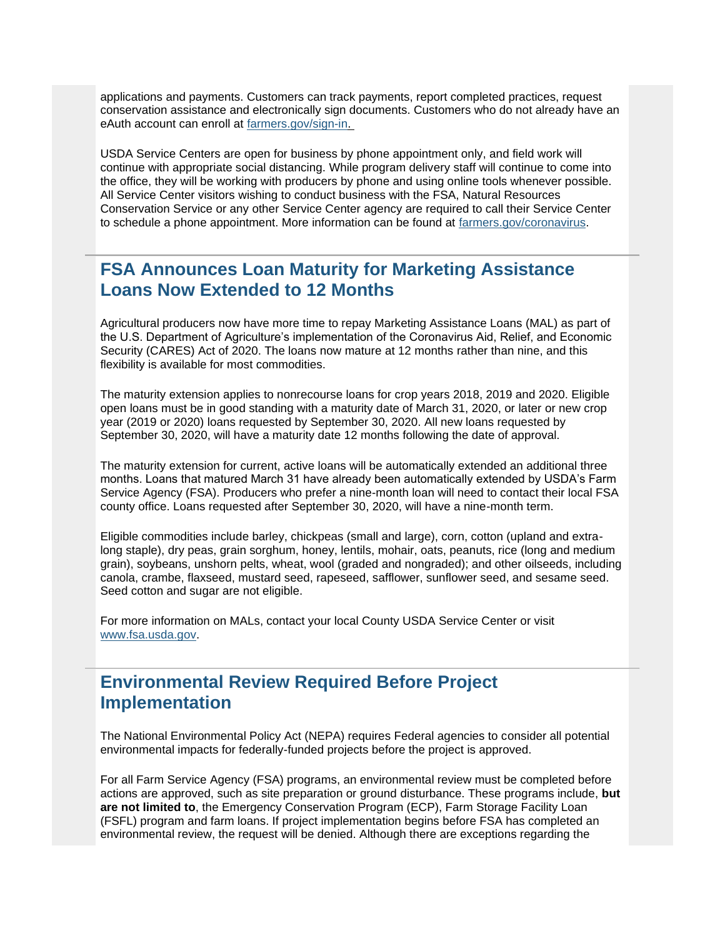applications and payments. Customers can track payments, report completed practices, request conservation assistance and electronically sign documents. Customers who do not already have an eAuth account can enroll at [farmers.gov/sign-in.](https://www.farmers.gov/sign-in?utm_medium=email&utm_source=govdelivery)

USDA Service Centers are open for business by phone appointment only, and field work will continue with appropriate social distancing. While program delivery staff will continue to come into the office, they will be working with producers by phone and using online tools whenever possible. All Service Center visitors wishing to conduct business with the FSA, Natural Resources Conservation Service or any other Service Center agency are required to call their Service Center to schedule a phone appointment. More information can be found at [farmers.gov/coronavirus.](http://www.farmers.gov/coronavirus?utm_medium=email&utm_source=govdelivery)

## <span id="page-10-0"></span>**FSA Announces Loan Maturity for Marketing Assistance Loans Now Extended to 12 Months**

Agricultural producers now have more time to repay Marketing Assistance Loans (MAL) as part of the U.S. Department of Agriculture's implementation of the Coronavirus Aid, Relief, and Economic Security (CARES) Act of 2020. The loans now mature at 12 months rather than nine, and this flexibility is available for most commodities.

The maturity extension applies to nonrecourse loans for crop years 2018, 2019 and 2020. Eligible open loans must be in good standing with a maturity date of March 31, 2020, or later or new crop year (2019 or 2020) loans requested by September 30, 2020. All new loans requested by September 30, 2020, will have a maturity date 12 months following the date of approval.

The maturity extension for current, active loans will be automatically extended an additional three months. Loans that matured March 31 have already been automatically extended by USDA's Farm Service Agency (FSA). Producers who prefer a nine-month loan will need to contact their local FSA county office. Loans requested after September 30, 2020, will have a nine-month term.

Eligible commodities include barley, chickpeas (small and large), corn, cotton (upland and extralong staple), dry peas, grain sorghum, honey, lentils, mohair, oats, peanuts, rice (long and medium grain), soybeans, unshorn pelts, wheat, wool (graded and nongraded); and other oilseeds, including canola, crambe, flaxseed, mustard seed, rapeseed, safflower, sunflower seed, and sesame seed. Seed cotton and sugar are not eligible.

For more information on MALs, contact your local County USDA Service Center or visit [www.fsa.usda.gov.](https://gcc02.safelinks.protection.outlook.com/?url=http%3A%2F%2Fwww.fsa.usda.gov%2F%3Futm_medium%3Demail%26utm_source%3Dgovdelivery&data=02%7C01%7C%7Ce186c851b75c4fa9aa0108d8405f06d4%7Ced5b36e701ee4ebc867ee03cfa0d4697%7C0%7C0%7C637330124174637109&sdata=RwaoLe9Tyg0W8I6fwfWoKs6qSlBZQO073fEU3wUcU2A%3D&reserved=0)

## <span id="page-10-1"></span>**Environmental Review Required Before Project Implementation**

The National Environmental Policy Act (NEPA) requires Federal agencies to consider all potential environmental impacts for federally-funded projects before the project is approved.

For all Farm Service Agency (FSA) programs, an environmental review must be completed before actions are approved, such as site preparation or ground disturbance. These programs include, **but are not limited to**, the Emergency Conservation Program (ECP), Farm Storage Facility Loan (FSFL) program and farm loans. If project implementation begins before FSA has completed an environmental review, the request will be denied. Although there are exceptions regarding the